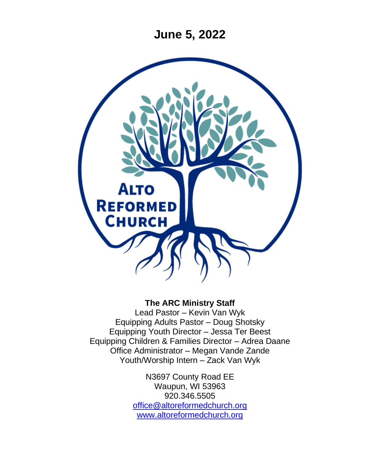**June 5, 2022**



#### **The ARC Ministry Staff**

Lead Pastor – Kevin Van Wyk Equipping Adults Pastor – Doug Shotsky Equipping Youth Director – Jessa Ter Beest Equipping Children & Families Director – Adrea Daane Office Administrator – Megan Vande Zande Youth/Worship Intern – Zack Van Wyk

> N3697 County Road EE Waupun, WI 53963 920.346.5505 [office@altoreformedchurch.org](mailto:office@altoreformedchurch.org) [www.altoreformedchurch.org](http://www.altoreformedchurch.org/)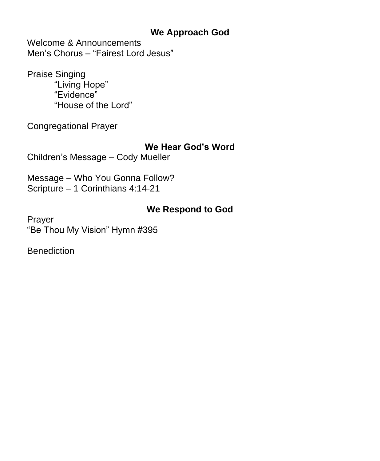#### **We Approach God**

Welcome & Announcements Men's Chorus – "Fairest Lord Jesus"

Praise Singing "Living Hope" "Evidence" "House of the Lord"

Congregational Prayer

#### **We Hear God's Word**

Children's Message – Cody Mueller

Message – Who You Gonna Follow? Scripture – 1 Corinthians 4:14-21

### **We Respond to God**

Prayer "Be Thou My Vision" Hymn #395

**Benediction**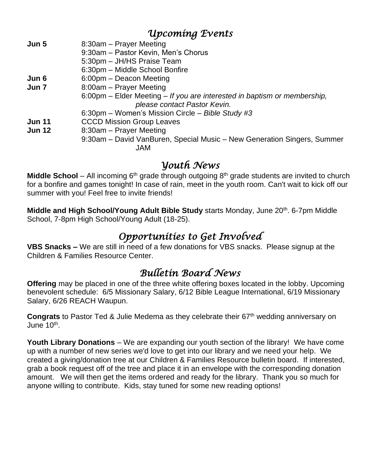## *Upcoming Events*

| Jun 5         | 8:30am – Prayer Meeting                                                  |
|---------------|--------------------------------------------------------------------------|
|               | 9:30am - Pastor Kevin, Men's Chorus                                      |
|               | 5:30pm - JH/HS Praise Team                                               |
|               | 6:30pm - Middle School Bonfire                                           |
| Jun 6         | 6:00pm - Deacon Meeting                                                  |
| Jun 7         | 8:00am - Prayer Meeting                                                  |
|               | 6:00pm – Elder Meeting – If you are interested in baptism or membership, |
|               | please contact Pastor Kevin.                                             |
|               | 6:30pm - Women's Mission Circle - Bible Study #3                         |
| <b>Jun 11</b> | <b>CCCD Mission Group Leaves</b>                                         |
| <b>Jun 12</b> | 8:30am - Prayer Meeting                                                  |
|               | 9:30am – David VanBuren, Special Music – New Generation Singers, Summer  |
|               | JAM.                                                                     |

## *Youth News*

**Middle School** – All incoming  $6<sup>th</sup>$  grade through outgoing  $8<sup>th</sup>$  grade students are invited to church for a bonfire and games tonight! In case of rain, meet in the youth room. Can't wait to kick off our summer with you! Feel free to invite friends!

**Middle and High School/Young Adult Bible Study** starts Monday, June 20<sup>th</sup>. 6-7pm Middle School, 7-8pm High School/Young Adult (18-25).

# *Opportunities to Get Involved*

**VBS Snacks –** We are still in need of a few donations for VBS snacks. Please signup at the Children & Families Resource Center.

## *Bulletin Board News*

**Offering** may be placed in one of the three white offering boxes located in the lobby. Upcoming benevolent schedule: 6/5 Missionary Salary, 6/12 Bible League International, 6/19 Missionary Salary, 6/26 REACH Waupun.

**Congrats** to Pastor Ted & Julie Medema as they celebrate their 67th wedding anniversary on June 10<sup>th</sup>.

**Youth Library Donations** – We are expanding our youth section of the library! We have come up with a number of new series we'd love to get into our library and we need your help. We created a giving/donation tree at our Children & Families Resource bulletin board. If interested, grab a book request off of the tree and place it in an envelope with the corresponding donation amount. We will then get the items ordered and ready for the library. Thank you so much for anyone willing to contribute. Kids, stay tuned for some new reading options!